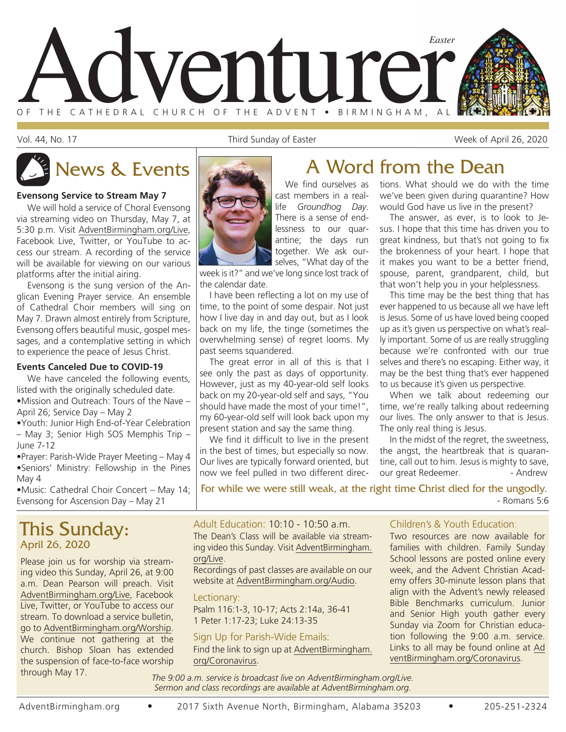

Vol. 44, No. 17 Third Sunday of Easter Week of April 26, 2020

#### **Evensong Service to Stream May 7**

We will hold a service of Choral Evensong via streaming video on Thursday, May 7, at 5:30 p.m. Visit AdventBirmingham.org/Live, Facebook Live, Twitter, or YouTube to access our stream. A recording of the service will be available for viewing on our various platforms after the initial airing.

Evensong is the sung version of the Anglican Evening Prayer service. An ensemble of Cathedral Choir members will sing on May 7. Drawn almost entirely from Scripture, Evensong offers beautiful music, gospel messages, and a contemplative setting in which to experience the peace of Jesus Christ.

#### **Events Canceled Due to COVID-19**

We have canceled the following events. listed with the originally scheduled date. •Mission and Outreach: Tours of the Nave – April 26; Service Day – May 2

•Youth: Junior High End-of-Year Celebration – May 3; Senior High SOS Memphis Trip – June 7-12

•Prayer: Parish-Wide Prayer Meeting – May 4 •Seniors' Ministry: Fellowship in the Pines May 4

•Music: Cathedral Choir Concert – May 14; Evensong for Ascension Day – May 21

### This Sunday: April 26, 2020

Please join us for worship via streaming video this Sunday, April 26, at 9:00 a.m. Dean Pearson will preach. Visit AdventBirmingham.org/Live, Facebook Live, Twitter, or YouTube to access our stream. To download a service bulletin, go to AdventBirmingham.org/Worship. We continue not gathering at the church. Bishop Sloan has extended the suspension of face-to-face worship through May 17.



# News & Events **A** Word from the Dean

We find ourselves as cast members in a reallife *Groundhog Day*. There is a sense of endlessness to our quarantine; the days run together. We ask ourselves, "What day of the

week is it?" and we've long since lost track of the calendar date.

I have been reflecting a lot on my use of time, to the point of some despair. Not just how I live day in and day out, but as I look back on my life, the tinge (sometimes the overwhelming sense) of regret looms. My past seems squandered.

The great error in all of this is that I see only the past as days of opportunity. However, just as my 40-year-old self looks back on my 20-year-old self and says, "You should have made the most of your time!", my 60-year-old self will look back upon my present station and say the same thing.

We find it difficult to live in the present in the best of times, but especially so now. Our lives are typically forward oriented, but now we feel pulled in two different direc-

#### tions. What should we do with the time we've been given during quarantine? How would God have us live in the present?

The answer, as ever, is to look to Jesus. I hope that this time has driven you to great kindness, but that's not going to fix the brokenness of your heart. I hope that it makes you want to be a better friend, spouse, parent, grandparent, child, but that won't help you in your helplessness.

This time may be the best thing that has ever happened to us because all we have left is Jesus. Some of us have loved being cooped up as it's given us perspective on what's really important. Some of us are really struggling because we're confronted with our true selves and there's no escaping. Either way, it may be the best thing that's ever happened to us because it's given us perspective.

When we talk about redeeming our time, we're really talking about redeeming our lives. The only answer to that is Jesus. The only real thing is Jesus.

In the midst of the regret, the sweetness, the angst, the heartbreak that is quarantine, call out to him. Jesus is mighty to save, our great Redeemer. - Andrew

For while we were still weak, at the right time Christ died for the ungodly. - Romans 5:6

#### Adult Education: 10:10 - 10:50 a.m.

The Dean's Class will be available via streaming video this Sunday. Visit AdventBirmingham. org/Live.

Recordings of past classes are available on our website at AdventBirmingham.org/Audio.

#### Lectionary:

Psalm 116:1-3, 10-17; Acts 2:14a, 36-41 1 Peter 1:17-23; Luke 24:13-35

#### Sign Up for Parish-Wide Emails:

Find the link to sign up at AdventBirmingham. org/Coronavirus.

#### Children's & Youth Education:

Two resources are now available for families with children. Family Sunday School lessons are posted online every week, and the Advent Christian Academy offers 30-minute lesson plans that align with the Advent's newly released Bible Benchmarks curriculum. Junior and Senior High youth gather every Sunday via Zoom for Christian education following the 9:00 a.m. service. Links to all may be found online at Ad ventBirmingham.org/Coronavirus.

*The 9:00 a.m. service is broadcast live on AdventBirmingham.org/Live. Sermon and class recordings are available at AdventBirmingham.org.*